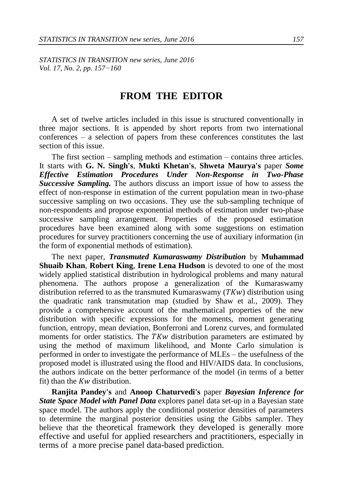*STATISTICS IN TRANSITION new series, June 2016 Vol. 17, No. 2, pp. 157−160*

## **FROM THE EDITOR**

A set of twelve articles included in this issue is structured conventionally in three major sections. It is appended by short reports from two international conferences – a selection of papers from these conferences constitutes the last section of this issue.

The first section – sampling methods and estimation – contains three articles. It starts with **G. N. Singh's**, **Mukti Khetan's**, **Shweta Maurya's** paper *Some Effective Estimation Procedures Under Non-Response in Two-Phase Successive Sampling.* The authors discuss an import issue of how to assess the effect of non-response in estimation of the current population mean in two-phase successive sampling on two occasions. They use the sub-sampling technique of non-respondents and propose exponential methods of estimation under two-phase successive sampling arrangement. Properties of the proposed estimation procedures have been examined along with some suggestions on estimation procedures for survey practitioners concerning the use of auxiliary information (in the form of exponential methods of estimation).

The next paper, *Transmuted Kumaraswamy Distribution* by **Muhammad Shuaib Khan**, **Robert King**, **Irene Lena Hudson** is devoted to one of the most widely applied statistical distribution in hydrological problems and many natural phenomena. The authors propose a generalization of the Kumaraswamy distribution referred to as the transmuted Kumaraswamy ( $TKw$ ) distribution using the quadratic rank transmutation map (studied by Shaw et al., 2009). They provide a comprehensive account of the mathematical properties of the new distribution with specific expressions for the moments, moment generating function, entropy, mean deviation, Bonferroni and Lorenz curves, and formulated moments for order statistics. The  $TKw$  distribution parameters are estimated by using the method of maximum likelihood, and Monte Carlo simulation is performed in order to investigate the performance of MLEs – the usefulness of the proposed model is illustrated using the flood and HIV/AIDS data. In conclusions, the authors indicate on the better performance of the model (in terms of a better fit) than the  $Kw$  distribution.

**Ranjita Pandey's** and **Anoop Chaturvedi's** paper *Bayesian Inference for State Space Model with Panel Data* explores panel data set-up in a Bayesian state space model. The authors apply the conditional posterior densities of parameters to determine the marginal posterior densities using the Gibbs sampler. They believe that the theoretical framework they developed is generally more effective and useful for applied researchers and practitioners, especially in terms of a more precise panel data-based prediction.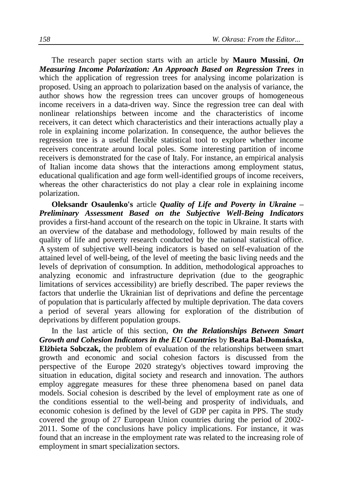The research paper section starts with an article by **Mauro Mussini**, *On Measuring Income Polarization: An Approach Based on Regression Trees* in which the application of regression trees for analysing income polarization is proposed. Using an approach to polarization based on the analysis of variance, the author shows how the regression trees can uncover groups of homogeneous income receivers in a data-driven way. Since the regression tree can deal with nonlinear relationships between income and the characteristics of income receivers, it can detect which characteristics and their interactions actually play a role in explaining income polarization. In consequence, the author believes the regression tree is a useful flexible statistical tool to explore whether income receivers concentrate around local poles. Some interesting partition of income receivers is demonstrated for the case of Italy. For instance, an empirical analysis of Italian income data shows that the interactions among employment status, educational qualification and age form well-identified groups of income receivers, whereas the other characteristics do not play a clear role in explaining income polarization.

**Oleksandr Osaulenko's** article *Quality of Life and Poverty in Ukraine – Preliminary Assessment Based on the Subjective Well-Being Indicators* provides a first-hand account of the research on the topic in Ukraine. It starts with an overview of the database and methodology, followed by main results of the quality of life and poverty research conducted by the national statistical office. A system of subjective well-being indicators is based on self-evaluation of the attained level of well-being, of the level of meeting the basic living needs and the levels of deprivation of consumption. In addition, methodological approaches to analyzing economic and infrastructure deprivation (due to the geographic limitations of services accessibility) are briefly described. The paper reviews the factors that underlie the Ukrainian list of deprivations and define the percentage of population that is particularly affected by multiple deprivation. The data covers a period of several years allowing for exploration of the distribution of deprivations by different population groups.

In the last article of this section, *On the Relationships Between Smart Growth and Cohesion Indicators in the EU Countries* by **Beata Bal-Domańska**, **Elżbieta Sobczak,** the problem of evaluation of the relationships between smart growth and economic and social cohesion factors is discussed from the perspective of the Europe 2020 strategy's objectives toward improving the situation in education, digital society and research and innovation. The authors employ aggregate measures for these three phenomena based on panel data models. Social cohesion is described by the level of employment rate as one of the conditions essential to the well-being and prosperity of individuals, and economic cohesion is defined by the level of GDP per capita in PPS. The study covered the group of 27 European Union countries during the period of 2002- 2011. Some of the conclusions have policy implications. For instance, it was found that an increase in the employment rate was related to the increasing role of employment in smart specialization sectors.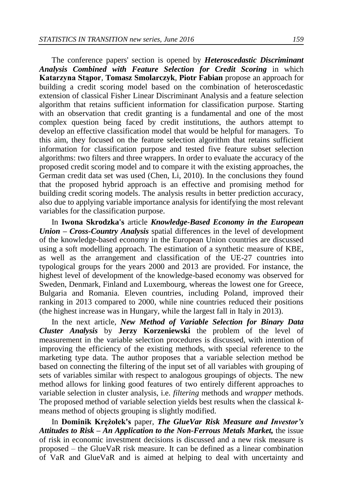The conference papers' section is opened by *Heteroscedastic Discriminant Analysis Combined with Feature Selection for Credit Scoring* in which **Katarzyna Stąpor**, **Tomasz Smolarczyk**, **Piotr Fabian** propose an approach for building a credit scoring model based on the combination of heteroscedastic extension of classical Fisher Linear Discriminant Analysis and a feature selection algorithm that retains sufficient information for classification purpose. Starting with an observation that credit granting is a fundamental and one of the most complex question being faced by credit institutions, the authors attempt to develop an effective classification model that would be helpful for managers. To this aim, they focused on the feature selection algorithm that retains sufficient information for classification purpose and tested five feature subset selection algorithms: two filters and three wrappers. In order to evaluate the accuracy of the proposed credit scoring model and to compare it with the existing approaches, the German credit data set was used (Chen, Li, 2010). In the conclusions they found that the proposed hybrid approach is an effective and promising method for building credit scoring models. The analysis results in better prediction accuracy, also due to applying variable importance analysis for identifying the most relevant variables for the classification purpose.

In **Iwona Skrodzka's** article *Knowledge-Based Economy in the European Union – Cross-Country Analysis* spatial differences in the level of development of the knowledge-based economy in the European Union countries are discussed using a soft modelling approach. The estimation of a synthetic measure of KBE, as well as the arrangement and classification of the UE-27 countries into typological groups for the years 2000 and 2013 are provided. For instance, the highest level of development of the knowledge-based economy was observed for Sweden, Denmark, Finland and Luxembourg, whereas the lowest one for Greece, Bulgaria and Romania. Eleven countries, including Poland, improved their ranking in 2013 compared to 2000, while nine countries reduced their positions (the highest increase was in Hungary, while the largest fall in Italy in 2013).

In the next article, *New Method of Variable Selection for Binary Data Cluster Analysis* by **Jerzy Korzeniewski** the problem of the level of measurement in the variable selection procedures is discussed, with intention of improving the efficiency of the existing methods, with special reference to the marketing type data. The author proposes that a variable selection method be based on connecting the filtering of the input set of all variables with grouping of sets of variables similar with respect to analogous groupings of objects. The new method allows for linking good features of two entirely different approaches to variable selection in cluster analysis, i.e. *filtering* methods and *wrapper* methods. The proposed method of variable selection yields best results when the classical *k*means method of objects grouping is slightly modified.

In **Dominik Krężołek's** paper, *The GlueVar Risk Measure and Investor's Attitudes to Risk – An Application to the Non-Ferrous Metals Market,* the issue of risk in economic investment decisions is discussed and a new risk measure is proposed – the GlueVaR risk measure. It can be defined as a linear combination of VaR and GlueVaR and is aimed at helping to deal with uncertainty and